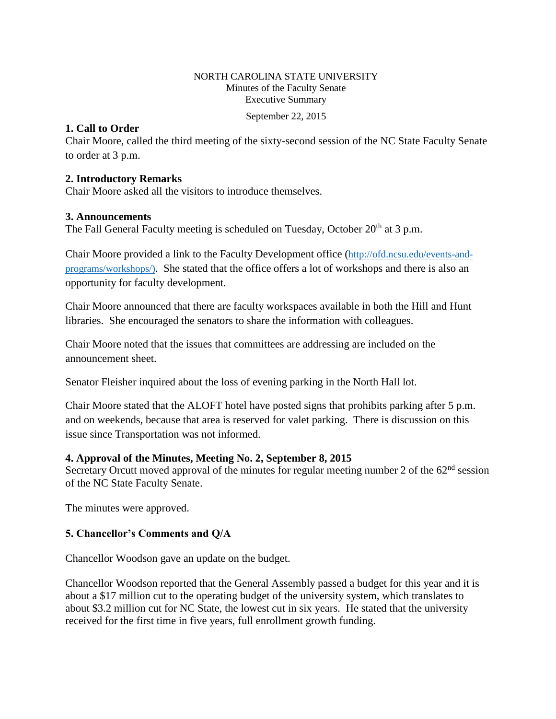## NORTH CAROLINA STATE UNIVERSITY Minutes of the Faculty Senate Executive Summary

September 22, 2015

## **1. Call to Order**

Chair Moore, called the third meeting of the sixty-second session of the NC State Faculty Senate to order at 3 p.m.

## **2. Introductory Remarks**

Chair Moore asked all the visitors to introduce themselves.

# **3. Announcements**

The Fall General Faculty meeting is scheduled on Tuesday, October 20<sup>th</sup> at 3 p.m.

Chair Moore provided a link to the Faculty Development office ([http://ofd.ncsu.edu/events-and](http://ofd.ncsu.edu/events-and-programs/workshops/)[programs/workshops/\)](http://ofd.ncsu.edu/events-and-programs/workshops/). She stated that the office offers a lot of workshops and there is also an opportunity for faculty development.

Chair Moore announced that there are faculty workspaces available in both the Hill and Hunt libraries. She encouraged the senators to share the information with colleagues.

Chair Moore noted that the issues that committees are addressing are included on the announcement sheet.

Senator Fleisher inquired about the loss of evening parking in the North Hall lot.

Chair Moore stated that the ALOFT hotel have posted signs that prohibits parking after 5 p.m. and on weekends, because that area is reserved for valet parking. There is discussion on this issue since Transportation was not informed.

## **4. Approval of the Minutes, Meeting No. 2, September 8, 2015**

Secretary Orcutt moved approval of the minutes for regular meeting number 2 of the  $62<sup>nd</sup>$  session of the NC State Faculty Senate.

The minutes were approved.

# **5. Chancellor's Comments and Q/A**

Chancellor Woodson gave an update on the budget.

Chancellor Woodson reported that the General Assembly passed a budget for this year and it is about a \$17 million cut to the operating budget of the university system, which translates to about \$3.2 million cut for NC State, the lowest cut in six years. He stated that the university received for the first time in five years, full enrollment growth funding.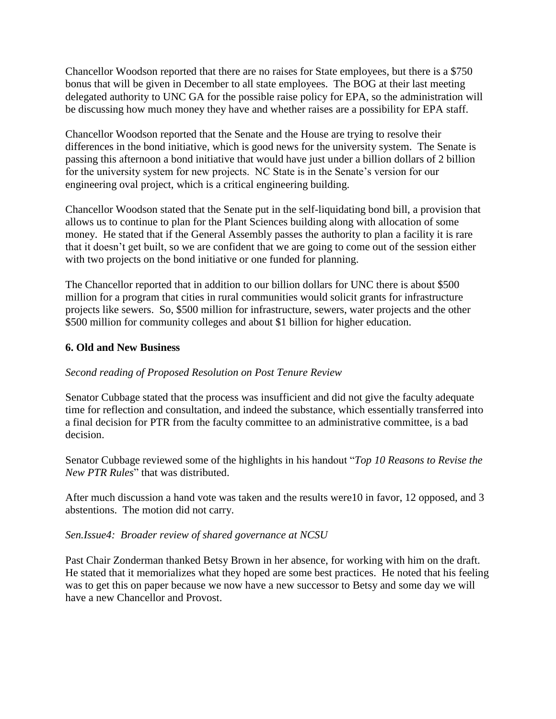Chancellor Woodson reported that there are no raises for State employees, but there is a \$750 bonus that will be given in December to all state employees. The BOG at their last meeting delegated authority to UNC GA for the possible raise policy for EPA, so the administration will be discussing how much money they have and whether raises are a possibility for EPA staff.

Chancellor Woodson reported that the Senate and the House are trying to resolve their differences in the bond initiative, which is good news for the university system. The Senate is passing this afternoon a bond initiative that would have just under a billion dollars of 2 billion for the university system for new projects. NC State is in the Senate's version for our engineering oval project, which is a critical engineering building.

Chancellor Woodson stated that the Senate put in the self-liquidating bond bill, a provision that allows us to continue to plan for the Plant Sciences building along with allocation of some money. He stated that if the General Assembly passes the authority to plan a facility it is rare that it doesn't get built, so we are confident that we are going to come out of the session either with two projects on the bond initiative or one funded for planning.

The Chancellor reported that in addition to our billion dollars for UNC there is about \$500 million for a program that cities in rural communities would solicit grants for infrastructure projects like sewers. So, \$500 million for infrastructure, sewers, water projects and the other \$500 million for community colleges and about \$1 billion for higher education.

# **6. Old and New Business**

# *Second reading of Proposed Resolution on Post Tenure Review*

Senator Cubbage stated that the process was insufficient and did not give the faculty adequate time for reflection and consultation, and indeed the substance, which essentially transferred into a final decision for PTR from the faculty committee to an administrative committee, is a bad decision.

Senator Cubbage reviewed some of the highlights in his handout "*Top 10 Reasons to Revise the New PTR Rules*" that was distributed.

After much discussion a hand vote was taken and the results were10 in favor, 12 opposed, and 3 abstentions. The motion did not carry.

## *Sen.Issue4: Broader review of shared governance at NCSU*

Past Chair Zonderman thanked Betsy Brown in her absence, for working with him on the draft. He stated that it memorializes what they hoped are some best practices. He noted that his feeling was to get this on paper because we now have a new successor to Betsy and some day we will have a new Chancellor and Provost.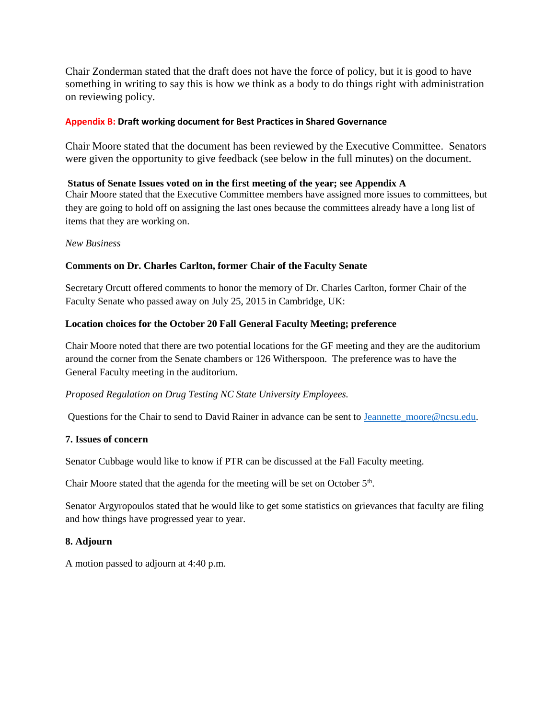Chair Zonderman stated that the draft does not have the force of policy, but it is good to have something in writing to say this is how we think as a body to do things right with administration on reviewing policy.

#### **Appendix B: Draft working document for Best Practices in Shared Governance**

Chair Moore stated that the document has been reviewed by the Executive Committee. Senators were given the opportunity to give feedback (see below in the full minutes) on the document.

#### **Status of Senate Issues voted on in the first meeting of the year; see Appendix A**

Chair Moore stated that the Executive Committee members have assigned more issues to committees, but they are going to hold off on assigning the last ones because the committees already have a long list of items that they are working on.

#### *New Business*

#### **Comments on Dr. Charles Carlton, former Chair of the Faculty Senate**

Secretary Orcutt offered comments to honor the memory of Dr. Charles Carlton, former Chair of the Faculty Senate who passed away on July 25, 2015 in Cambridge, UK:

#### **Location choices for the October 20 Fall General Faculty Meeting; preference**

Chair Moore noted that there are two potential locations for the GF meeting and they are the auditorium around the corner from the Senate chambers or 126 Witherspoon. The preference was to have the General Faculty meeting in the auditorium.

#### *Proposed Regulation on Drug Testing NC State University Employees.*

Questions for the Chair to send to David Rainer in advance can be sent to Jeannette moore@ncsu.edu.

#### **7. Issues of concern**

Senator Cubbage would like to know if PTR can be discussed at the Fall Faculty meeting.

Chair Moore stated that the agenda for the meeting will be set on October 5<sup>th</sup>.

Senator Argyropoulos stated that he would like to get some statistics on grievances that faculty are filing and how things have progressed year to year.

#### **8. Adjourn**

A motion passed to adjourn at 4:40 p.m.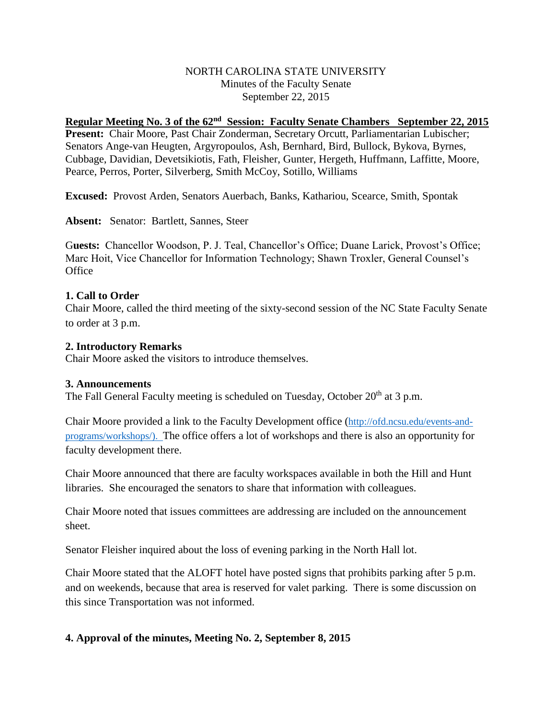## NORTH CAROLINA STATE UNIVERSITY Minutes of the Faculty Senate September 22, 2015

# Regular Meeting No. 3 of the 62<sup>nd</sup> Session: Faculty Senate Chambers September 22, 2015

**Present:** Chair Moore, Past Chair Zonderman, Secretary Orcutt, Parliamentarian Lubischer; Senators Ange-van Heugten, Argyropoulos, Ash, Bernhard, Bird, Bullock, Bykova, Byrnes, Cubbage, Davidian, Devetsikiotis, Fath, Fleisher, Gunter, Hergeth, Huffmann, Laffitte, Moore, Pearce, Perros, Porter, Silverberg, Smith McCoy, Sotillo, Williams

**Excused:** Provost Arden, Senators Auerbach, Banks, Kathariou, Scearce, Smith, Spontak

**Absent:** Senator: Bartlett, Sannes, Steer

G**uests:** Chancellor Woodson, P. J. Teal, Chancellor's Office; Duane Larick, Provost's Office; Marc Hoit, Vice Chancellor for Information Technology; Shawn Troxler, General Counsel's **Office** 

## **1. Call to Order**

Chair Moore, called the third meeting of the sixty-second session of the NC State Faculty Senate to order at 3 p.m.

#### **2. Introductory Remarks**

Chair Moore asked the visitors to introduce themselves.

## **3. Announcements**

The Fall General Faculty meeting is scheduled on Tuesday, October  $20<sup>th</sup>$  at 3 p.m.

Chair Moore provided a link to the Faculty Development office ([http://ofd.ncsu.edu/events-and](http://ofd.ncsu.edu/events-and-programs/workshops/)[programs/workshops/\)](http://ofd.ncsu.edu/events-and-programs/workshops/). The office offers a lot of workshops and there is also an opportunity for faculty development there.

Chair Moore announced that there are faculty workspaces available in both the Hill and Hunt libraries. She encouraged the senators to share that information with colleagues.

Chair Moore noted that issues committees are addressing are included on the announcement sheet.

Senator Fleisher inquired about the loss of evening parking in the North Hall lot.

Chair Moore stated that the ALOFT hotel have posted signs that prohibits parking after 5 p.m. and on weekends, because that area is reserved for valet parking. There is some discussion on this since Transportation was not informed.

## **4. Approval of the minutes, Meeting No. 2, September 8, 2015**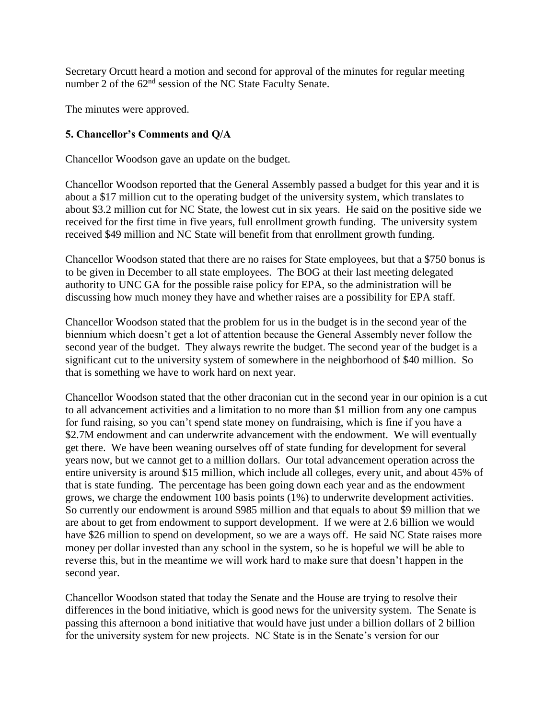Secretary Orcutt heard a motion and second for approval of the minutes for regular meeting number 2 of the 62<sup>nd</sup> session of the NC State Faculty Senate.

The minutes were approved.

# **5. Chancellor's Comments and Q/A**

Chancellor Woodson gave an update on the budget.

Chancellor Woodson reported that the General Assembly passed a budget for this year and it is about a \$17 million cut to the operating budget of the university system, which translates to about \$3.2 million cut for NC State, the lowest cut in six years. He said on the positive side we received for the first time in five years, full enrollment growth funding. The university system received \$49 million and NC State will benefit from that enrollment growth funding.

Chancellor Woodson stated that there are no raises for State employees, but that a \$750 bonus is to be given in December to all state employees. The BOG at their last meeting delegated authority to UNC GA for the possible raise policy for EPA, so the administration will be discussing how much money they have and whether raises are a possibility for EPA staff.

Chancellor Woodson stated that the problem for us in the budget is in the second year of the biennium which doesn't get a lot of attention because the General Assembly never follow the second year of the budget. They always rewrite the budget. The second year of the budget is a significant cut to the university system of somewhere in the neighborhood of \$40 million. So that is something we have to work hard on next year.

Chancellor Woodson stated that the other draconian cut in the second year in our opinion is a cut to all advancement activities and a limitation to no more than \$1 million from any one campus for fund raising, so you can't spend state money on fundraising, which is fine if you have a \$2.7M endowment and can underwrite advancement with the endowment. We will eventually get there. We have been weaning ourselves off of state funding for development for several years now, but we cannot get to a million dollars. Our total advancement operation across the entire university is around \$15 million, which include all colleges, every unit, and about 45% of that is state funding. The percentage has been going down each year and as the endowment grows, we charge the endowment 100 basis points (1%) to underwrite development activities. So currently our endowment is around \$985 million and that equals to about \$9 million that we are about to get from endowment to support development. If we were at 2.6 billion we would have \$26 million to spend on development, so we are a ways off. He said NC State raises more money per dollar invested than any school in the system, so he is hopeful we will be able to reverse this, but in the meantime we will work hard to make sure that doesn't happen in the second year.

Chancellor Woodson stated that today the Senate and the House are trying to resolve their differences in the bond initiative, which is good news for the university system. The Senate is passing this afternoon a bond initiative that would have just under a billion dollars of 2 billion for the university system for new projects. NC State is in the Senate's version for our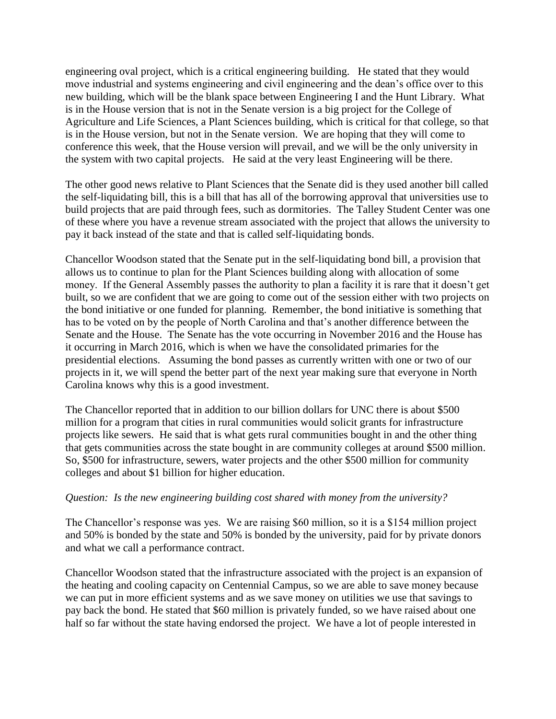engineering oval project, which is a critical engineering building. He stated that they would move industrial and systems engineering and civil engineering and the dean's office over to this new building, which will be the blank space between Engineering I and the Hunt Library. What is in the House version that is not in the Senate version is a big project for the College of Agriculture and Life Sciences, a Plant Sciences building, which is critical for that college, so that is in the House version, but not in the Senate version. We are hoping that they will come to conference this week, that the House version will prevail, and we will be the only university in the system with two capital projects. He said at the very least Engineering will be there.

The other good news relative to Plant Sciences that the Senate did is they used another bill called the self-liquidating bill, this is a bill that has all of the borrowing approval that universities use to build projects that are paid through fees, such as dormitories. The Talley Student Center was one of these where you have a revenue stream associated with the project that allows the university to pay it back instead of the state and that is called self-liquidating bonds.

Chancellor Woodson stated that the Senate put in the self-liquidating bond bill, a provision that allows us to continue to plan for the Plant Sciences building along with allocation of some money. If the General Assembly passes the authority to plan a facility it is rare that it doesn't get built, so we are confident that we are going to come out of the session either with two projects on the bond initiative or one funded for planning. Remember, the bond initiative is something that has to be voted on by the people of North Carolina and that's another difference between the Senate and the House. The Senate has the vote occurring in November 2016 and the House has it occurring in March 2016, which is when we have the consolidated primaries for the presidential elections. Assuming the bond passes as currently written with one or two of our projects in it, we will spend the better part of the next year making sure that everyone in North Carolina knows why this is a good investment.

The Chancellor reported that in addition to our billion dollars for UNC there is about \$500 million for a program that cities in rural communities would solicit grants for infrastructure projects like sewers. He said that is what gets rural communities bought in and the other thing that gets communities across the state bought in are community colleges at around \$500 million. So, \$500 for infrastructure, sewers, water projects and the other \$500 million for community colleges and about \$1 billion for higher education.

## *Question: Is the new engineering building cost shared with money from the university?*

The Chancellor's response was yes. We are raising \$60 million, so it is a \$154 million project and 50% is bonded by the state and 50% is bonded by the university, paid for by private donors and what we call a performance contract.

Chancellor Woodson stated that the infrastructure associated with the project is an expansion of the heating and cooling capacity on Centennial Campus, so we are able to save money because we can put in more efficient systems and as we save money on utilities we use that savings to pay back the bond. He stated that \$60 million is privately funded, so we have raised about one half so far without the state having endorsed the project. We have a lot of people interested in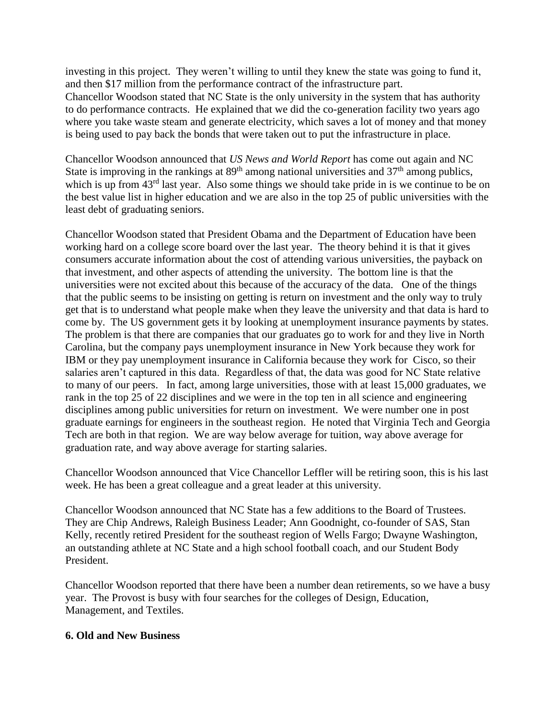investing in this project. They weren't willing to until they knew the state was going to fund it, and then \$17 million from the performance contract of the infrastructure part. Chancellor Woodson stated that NC State is the only university in the system that has authority to do performance contracts. He explained that we did the co-generation facility two years ago where you take waste steam and generate electricity, which saves a lot of money and that money is being used to pay back the bonds that were taken out to put the infrastructure in place.

Chancellor Woodson announced that *US News and World Report* has come out again and NC State is improving in the rankings at  $89<sup>th</sup>$  among national universities and  $37<sup>th</sup>$  among publics, which is up from 43<sup>rd</sup> last year. Also some things we should take pride in is we continue to be on the best value list in higher education and we are also in the top 25 of public universities with the least debt of graduating seniors.

Chancellor Woodson stated that President Obama and the Department of Education have been working hard on a college score board over the last year. The theory behind it is that it gives consumers accurate information about the cost of attending various universities, the payback on that investment, and other aspects of attending the university. The bottom line is that the universities were not excited about this because of the accuracy of the data. One of the things that the public seems to be insisting on getting is return on investment and the only way to truly get that is to understand what people make when they leave the university and that data is hard to come by. The US government gets it by looking at unemployment insurance payments by states. The problem is that there are companies that our graduates go to work for and they live in North Carolina, but the company pays unemployment insurance in New York because they work for IBM or they pay unemployment insurance in California because they work for Cisco, so their salaries aren't captured in this data. Regardless of that, the data was good for NC State relative to many of our peers. In fact, among large universities, those with at least 15,000 graduates, we rank in the top 25 of 22 disciplines and we were in the top ten in all science and engineering disciplines among public universities for return on investment. We were number one in post graduate earnings for engineers in the southeast region. He noted that Virginia Tech and Georgia Tech are both in that region. We are way below average for tuition, way above average for graduation rate, and way above average for starting salaries.

Chancellor Woodson announced that Vice Chancellor Leffler will be retiring soon, this is his last week. He has been a great colleague and a great leader at this university.

Chancellor Woodson announced that NC State has a few additions to the Board of Trustees. They are Chip Andrews, Raleigh Business Leader; Ann Goodnight, co-founder of SAS, Stan Kelly, recently retired President for the southeast region of Wells Fargo; Dwayne Washington, an outstanding athlete at NC State and a high school football coach, and our Student Body President.

Chancellor Woodson reported that there have been a number dean retirements, so we have a busy year. The Provost is busy with four searches for the colleges of Design, Education, Management, and Textiles.

## **6. Old and New Business**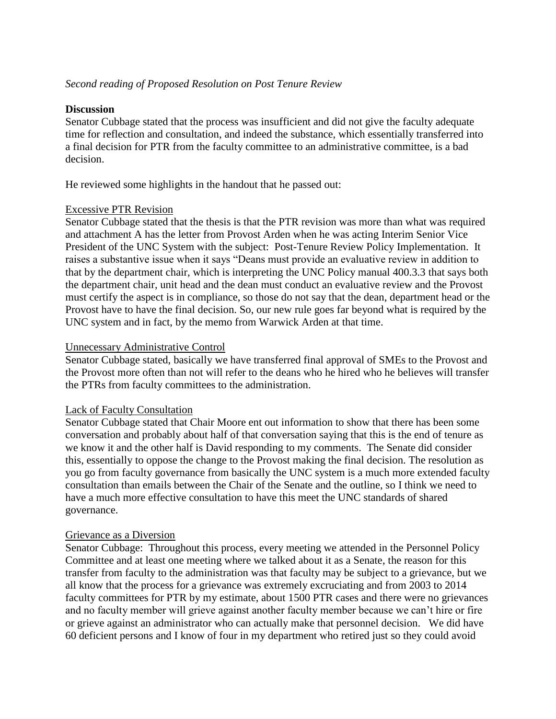# *Second reading of Proposed Resolution on Post Tenure Review*

#### **Discussion**

Senator Cubbage stated that the process was insufficient and did not give the faculty adequate time for reflection and consultation, and indeed the substance, which essentially transferred into a final decision for PTR from the faculty committee to an administrative committee, is a bad decision.

He reviewed some highlights in the handout that he passed out:

#### Excessive PTR Revision

Senator Cubbage stated that the thesis is that the PTR revision was more than what was required and attachment A has the letter from Provost Arden when he was acting Interim Senior Vice President of the UNC System with the subject: Post-Tenure Review Policy Implementation. It raises a substantive issue when it says "Deans must provide an evaluative review in addition to that by the department chair, which is interpreting the UNC Policy manual 400.3.3 that says both the department chair, unit head and the dean must conduct an evaluative review and the Provost must certify the aspect is in compliance, so those do not say that the dean, department head or the Provost have to have the final decision. So, our new rule goes far beyond what is required by the UNC system and in fact, by the memo from Warwick Arden at that time.

#### Unnecessary Administrative Control

Senator Cubbage stated, basically we have transferred final approval of SMEs to the Provost and the Provost more often than not will refer to the deans who he hired who he believes will transfer the PTRs from faculty committees to the administration.

## Lack of Faculty Consultation

Senator Cubbage stated that Chair Moore ent out information to show that there has been some conversation and probably about half of that conversation saying that this is the end of tenure as we know it and the other half is David responding to my comments. The Senate did consider this, essentially to oppose the change to the Provost making the final decision. The resolution as you go from faculty governance from basically the UNC system is a much more extended faculty consultation than emails between the Chair of the Senate and the outline, so I think we need to have a much more effective consultation to have this meet the UNC standards of shared governance.

## Grievance as a Diversion

Senator Cubbage: Throughout this process, every meeting we attended in the Personnel Policy Committee and at least one meeting where we talked about it as a Senate, the reason for this transfer from faculty to the administration was that faculty may be subject to a grievance, but we all know that the process for a grievance was extremely excruciating and from 2003 to 2014 faculty committees for PTR by my estimate, about 1500 PTR cases and there were no grievances and no faculty member will grieve against another faculty member because we can't hire or fire or grieve against an administrator who can actually make that personnel decision. We did have 60 deficient persons and I know of four in my department who retired just so they could avoid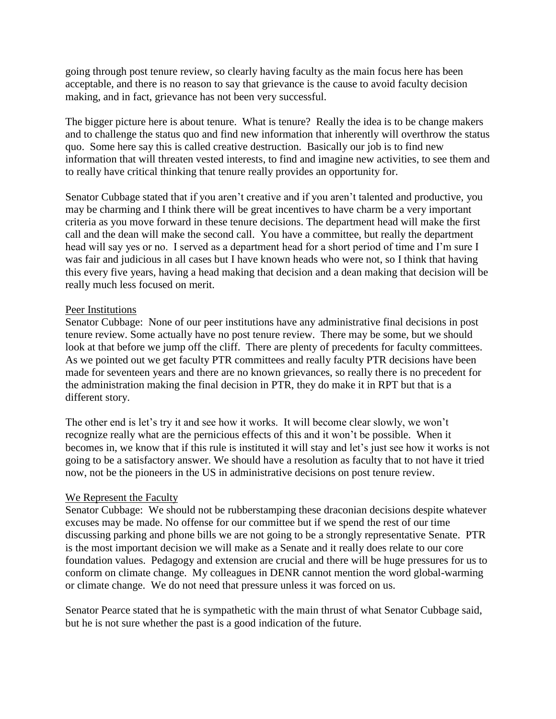going through post tenure review, so clearly having faculty as the main focus here has been acceptable, and there is no reason to say that grievance is the cause to avoid faculty decision making, and in fact, grievance has not been very successful.

The bigger picture here is about tenure. What is tenure? Really the idea is to be change makers and to challenge the status quo and find new information that inherently will overthrow the status quo. Some here say this is called creative destruction. Basically our job is to find new information that will threaten vested interests, to find and imagine new activities, to see them and to really have critical thinking that tenure really provides an opportunity for.

Senator Cubbage stated that if you aren't creative and if you aren't talented and productive, you may be charming and I think there will be great incentives to have charm be a very important criteria as you move forward in these tenure decisions. The department head will make the first call and the dean will make the second call. You have a committee, but really the department head will say yes or no. I served as a department head for a short period of time and I'm sure I was fair and judicious in all cases but I have known heads who were not, so I think that having this every five years, having a head making that decision and a dean making that decision will be really much less focused on merit.

## Peer Institutions

Senator Cubbage: None of our peer institutions have any administrative final decisions in post tenure review. Some actually have no post tenure review. There may be some, but we should look at that before we jump off the cliff. There are plenty of precedents for faculty committees. As we pointed out we get faculty PTR committees and really faculty PTR decisions have been made for seventeen years and there are no known grievances, so really there is no precedent for the administration making the final decision in PTR, they do make it in RPT but that is a different story.

The other end is let's try it and see how it works. It will become clear slowly, we won't recognize really what are the pernicious effects of this and it won't be possible. When it becomes in, we know that if this rule is instituted it will stay and let's just see how it works is not going to be a satisfactory answer. We should have a resolution as faculty that to not have it tried now, not be the pioneers in the US in administrative decisions on post tenure review.

## We Represent the Faculty

Senator Cubbage: We should not be rubberstamping these draconian decisions despite whatever excuses may be made. No offense for our committee but if we spend the rest of our time discussing parking and phone bills we are not going to be a strongly representative Senate. PTR is the most important decision we will make as a Senate and it really does relate to our core foundation values. Pedagogy and extension are crucial and there will be huge pressures for us to conform on climate change. My colleagues in DENR cannot mention the word global-warming or climate change. We do not need that pressure unless it was forced on us.

Senator Pearce stated that he is sympathetic with the main thrust of what Senator Cubbage said, but he is not sure whether the past is a good indication of the future.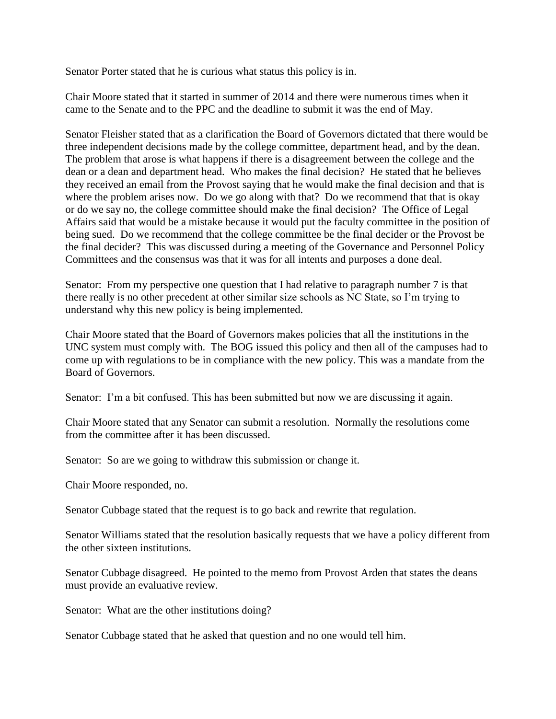Senator Porter stated that he is curious what status this policy is in.

Chair Moore stated that it started in summer of 2014 and there were numerous times when it came to the Senate and to the PPC and the deadline to submit it was the end of May.

Senator Fleisher stated that as a clarification the Board of Governors dictated that there would be three independent decisions made by the college committee, department head, and by the dean. The problem that arose is what happens if there is a disagreement between the college and the dean or a dean and department head. Who makes the final decision? He stated that he believes they received an email from the Provost saying that he would make the final decision and that is where the problem arises now. Do we go along with that? Do we recommend that that is okay or do we say no, the college committee should make the final decision? The Office of Legal Affairs said that would be a mistake because it would put the faculty committee in the position of being sued. Do we recommend that the college committee be the final decider or the Provost be the final decider? This was discussed during a meeting of the Governance and Personnel Policy Committees and the consensus was that it was for all intents and purposes a done deal.

Senator: From my perspective one question that I had relative to paragraph number 7 is that there really is no other precedent at other similar size schools as NC State, so I'm trying to understand why this new policy is being implemented.

Chair Moore stated that the Board of Governors makes policies that all the institutions in the UNC system must comply with. The BOG issued this policy and then all of the campuses had to come up with regulations to be in compliance with the new policy. This was a mandate from the Board of Governors.

Senator: I'm a bit confused. This has been submitted but now we are discussing it again.

Chair Moore stated that any Senator can submit a resolution. Normally the resolutions come from the committee after it has been discussed.

Senator: So are we going to withdraw this submission or change it.

Chair Moore responded, no.

Senator Cubbage stated that the request is to go back and rewrite that regulation.

Senator Williams stated that the resolution basically requests that we have a policy different from the other sixteen institutions.

Senator Cubbage disagreed. He pointed to the memo from Provost Arden that states the deans must provide an evaluative review.

Senator: What are the other institutions doing?

Senator Cubbage stated that he asked that question and no one would tell him.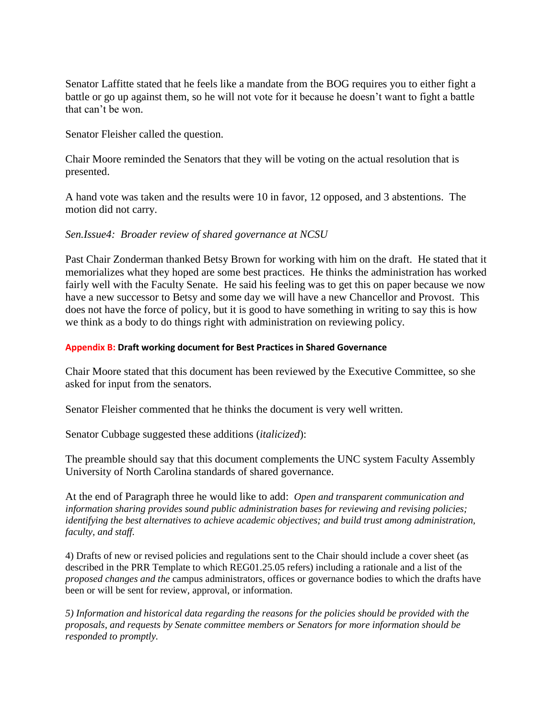Senator Laffitte stated that he feels like a mandate from the BOG requires you to either fight a battle or go up against them, so he will not vote for it because he doesn't want to fight a battle that can't be won.

Senator Fleisher called the question.

Chair Moore reminded the Senators that they will be voting on the actual resolution that is presented.

A hand vote was taken and the results were 10 in favor, 12 opposed, and 3 abstentions. The motion did not carry.

# *Sen.Issue4: Broader review of shared governance at NCSU*

Past Chair Zonderman thanked Betsy Brown for working with him on the draft. He stated that it memorializes what they hoped are some best practices. He thinks the administration has worked fairly well with the Faculty Senate. He said his feeling was to get this on paper because we now have a new successor to Betsy and some day we will have a new Chancellor and Provost. This does not have the force of policy, but it is good to have something in writing to say this is how we think as a body to do things right with administration on reviewing policy.

#### **Appendix B: Draft working document for Best Practices in Shared Governance**

Chair Moore stated that this document has been reviewed by the Executive Committee, so she asked for input from the senators.

Senator Fleisher commented that he thinks the document is very well written.

Senator Cubbage suggested these additions (*italicized*):

The preamble should say that this document complements the UNC system Faculty Assembly University of North Carolina standards of shared governance.

At the end of Paragraph three he would like to add: *Open and transparent communication and information sharing provides sound public administration bases for reviewing and revising policies; identifying the best alternatives to achieve academic objectives; and build trust among administration, faculty, and staff.*

4) Drafts of new or revised policies and regulations sent to the Chair should include a cover sheet (as described in the PRR Template to which REG01.25.05 refers) including a rationale and a list of the *proposed changes and the* campus administrators, offices or governance bodies to which the drafts have been or will be sent for review, approval, or information.

*5) Information and historical data regarding the reasons for the policies should be provided with the proposals, and requests by Senate committee members or Senators for more information should be responded to promptly.*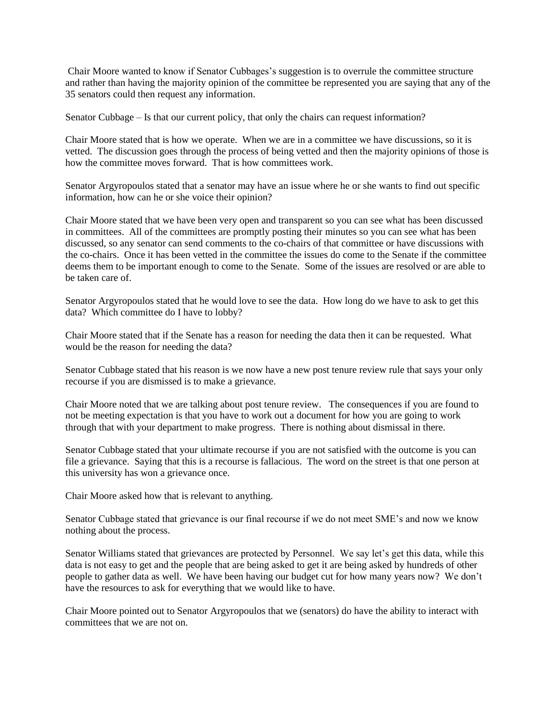Chair Moore wanted to know if Senator Cubbages's suggestion is to overrule the committee structure and rather than having the majority opinion of the committee be represented you are saying that any of the 35 senators could then request any information.

Senator Cubbage – Is that our current policy, that only the chairs can request information?

Chair Moore stated that is how we operate. When we are in a committee we have discussions, so it is vetted. The discussion goes through the process of being vetted and then the majority opinions of those is how the committee moves forward. That is how committees work.

Senator Argyropoulos stated that a senator may have an issue where he or she wants to find out specific information, how can he or she voice their opinion?

Chair Moore stated that we have been very open and transparent so you can see what has been discussed in committees. All of the committees are promptly posting their minutes so you can see what has been discussed, so any senator can send comments to the co-chairs of that committee or have discussions with the co-chairs. Once it has been vetted in the committee the issues do come to the Senate if the committee deems them to be important enough to come to the Senate. Some of the issues are resolved or are able to be taken care of.

Senator Argyropoulos stated that he would love to see the data. How long do we have to ask to get this data? Which committee do I have to lobby?

Chair Moore stated that if the Senate has a reason for needing the data then it can be requested. What would be the reason for needing the data?

Senator Cubbage stated that his reason is we now have a new post tenure review rule that says your only recourse if you are dismissed is to make a grievance.

Chair Moore noted that we are talking about post tenure review. The consequences if you are found to not be meeting expectation is that you have to work out a document for how you are going to work through that with your department to make progress. There is nothing about dismissal in there.

Senator Cubbage stated that your ultimate recourse if you are not satisfied with the outcome is you can file a grievance. Saying that this is a recourse is fallacious. The word on the street is that one person at this university has won a grievance once.

Chair Moore asked how that is relevant to anything.

Senator Cubbage stated that grievance is our final recourse if we do not meet SME's and now we know nothing about the process.

Senator Williams stated that grievances are protected by Personnel. We say let's get this data, while this data is not easy to get and the people that are being asked to get it are being asked by hundreds of other people to gather data as well. We have been having our budget cut for how many years now? We don't have the resources to ask for everything that we would like to have.

Chair Moore pointed out to Senator Argyropoulos that we (senators) do have the ability to interact with committees that we are not on.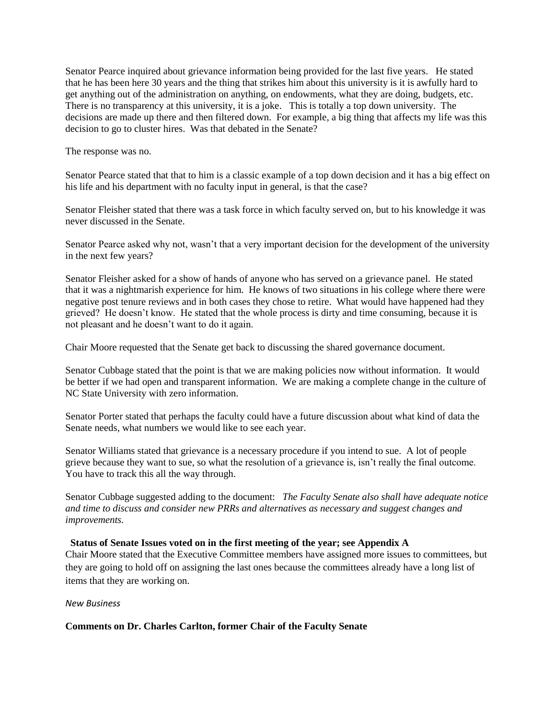Senator Pearce inquired about grievance information being provided for the last five years. He stated that he has been here 30 years and the thing that strikes him about this university is it is awfully hard to get anything out of the administration on anything, on endowments, what they are doing, budgets, etc. There is no transparency at this university, it is a joke. This is totally a top down university. The decisions are made up there and then filtered down. For example, a big thing that affects my life was this decision to go to cluster hires. Was that debated in the Senate?

The response was no.

Senator Pearce stated that that to him is a classic example of a top down decision and it has a big effect on his life and his department with no faculty input in general, is that the case?

Senator Fleisher stated that there was a task force in which faculty served on, but to his knowledge it was never discussed in the Senate.

Senator Pearce asked why not, wasn't that a very important decision for the development of the university in the next few years?

Senator Fleisher asked for a show of hands of anyone who has served on a grievance panel. He stated that it was a nightmarish experience for him. He knows of two situations in his college where there were negative post tenure reviews and in both cases they chose to retire. What would have happened had they grieved? He doesn't know. He stated that the whole process is dirty and time consuming, because it is not pleasant and he doesn't want to do it again.

Chair Moore requested that the Senate get back to discussing the shared governance document.

Senator Cubbage stated that the point is that we are making policies now without information. It would be better if we had open and transparent information. We are making a complete change in the culture of NC State University with zero information.

Senator Porter stated that perhaps the faculty could have a future discussion about what kind of data the Senate needs, what numbers we would like to see each year.

Senator Williams stated that grievance is a necessary procedure if you intend to sue. A lot of people grieve because they want to sue, so what the resolution of a grievance is, isn't really the final outcome. You have to track this all the way through.

Senator Cubbage suggested adding to the document: *The Faculty Senate also shall have adequate notice and time to discuss and consider new PRRs and alternatives as necessary and suggest changes and improvements.*

#### **Status of Senate Issues voted on in the first meeting of the year; see Appendix A**

Chair Moore stated that the Executive Committee members have assigned more issues to committees, but they are going to hold off on assigning the last ones because the committees already have a long list of items that they are working on.

#### *New Business*

**Comments on Dr. Charles Carlton, former Chair of the Faculty Senate**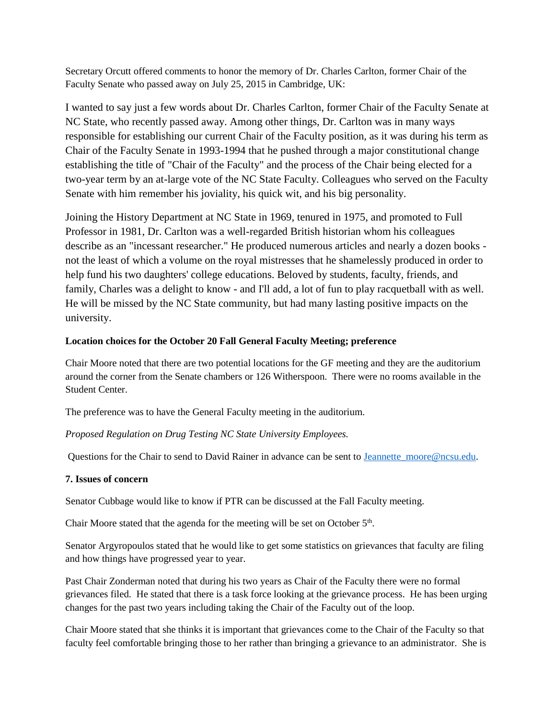Secretary Orcutt offered comments to honor the memory of Dr. Charles Carlton, former Chair of the Faculty Senate who passed away on July 25, 2015 in Cambridge, UK:

I wanted to say just a few words about Dr. Charles Carlton, former Chair of the Faculty Senate at NC State, who recently passed away. Among other things, Dr. Carlton was in many ways responsible for establishing our current Chair of the Faculty position, as it was during his term as Chair of the Faculty Senate in 1993-1994 that he pushed through a major constitutional change establishing the title of "Chair of the Faculty" and the process of the Chair being elected for a two-year term by an at-large vote of the NC State Faculty. Colleagues who served on the Faculty Senate with him remember his joviality, his quick wit, and his big personality.

Joining the History Department at NC State in 1969, tenured in 1975, and promoted to Full Professor in 1981, Dr. Carlton was a well-regarded British historian whom his colleagues describe as an "incessant researcher." He produced numerous articles and nearly a dozen books not the least of which a volume on the royal mistresses that he shamelessly produced in order to help fund his two daughters' college educations. Beloved by students, faculty, friends, and family, Charles was a delight to know - and I'll add, a lot of fun to play racquetball with as well. He will be missed by the NC State community, but had many lasting positive impacts on the university.

#### **Location choices for the October 20 Fall General Faculty Meeting; preference**

Chair Moore noted that there are two potential locations for the GF meeting and they are the auditorium around the corner from the Senate chambers or 126 Witherspoon. There were no rooms available in the Student Center.

The preference was to have the General Faculty meeting in the auditorium.

*Proposed Regulation on Drug Testing NC State University Employees.* 

Questions for the Chair to send to David Rainer in advance can be sent to Jeannette moore@ncsu.edu.

#### **7. Issues of concern**

Senator Cubbage would like to know if PTR can be discussed at the Fall Faculty meeting.

Chair Moore stated that the agenda for the meeting will be set on October  $5<sup>th</sup>$ .

Senator Argyropoulos stated that he would like to get some statistics on grievances that faculty are filing and how things have progressed year to year.

Past Chair Zonderman noted that during his two years as Chair of the Faculty there were no formal grievances filed. He stated that there is a task force looking at the grievance process. He has been urging changes for the past two years including taking the Chair of the Faculty out of the loop.

Chair Moore stated that she thinks it is important that grievances come to the Chair of the Faculty so that faculty feel comfortable bringing those to her rather than bringing a grievance to an administrator. She is